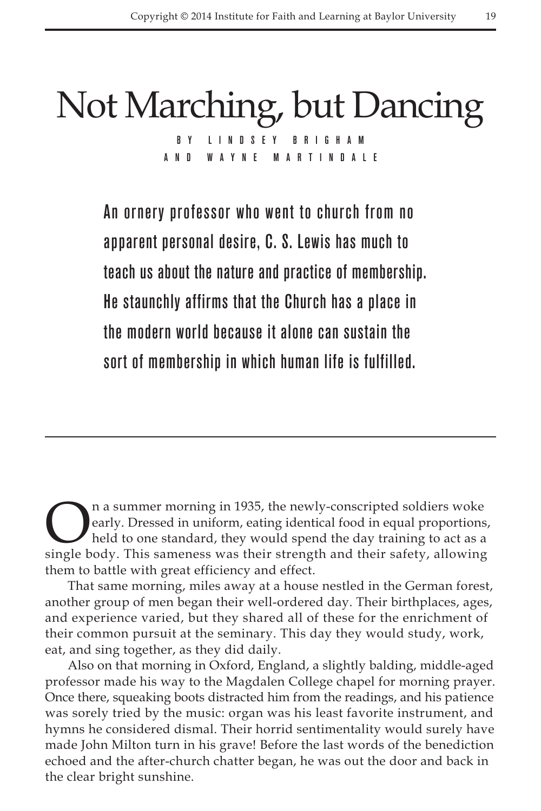## Not Marching, but Dancing B Y L I N D S E Y and Wayne M artinda l e

An ornery professor who went to church from no apparent personal desire, C. S. Lewis has much to teach us about the nature and practice of membership. He staunchly affirms that the Church has a place in the modern world because it alone can sustain the sort of membership in which human life is fulfilled.

**On a summer morning in 1935, the newly-conscripted soldiers woke**<br>early. Dressed in uniform, eating identical food in equal proportions<br>held to one standard, they would spend the day training to act as a<br>single body. This early. Dressed in uniform, eating identical food in equal proportions, held to one standard, they would spend the day training to act as a single body. This sameness was their strength and their safety, allowing them to battle with great efficiency and effect.

That same morning, miles away at a house nestled in the German forest, another group of men began their well-ordered day. Their birthplaces, ages, and experience varied, but they shared all of these for the enrichment of their common pursuit at the seminary. This day they would study, work, eat, and sing together, as they did daily.

Also on that morning in Oxford, England, a slightly balding, middle-aged professor made his way to the Magdalen College chapel for morning prayer. Once there, squeaking boots distracted him from the readings, and his patience was sorely tried by the music: organ was his least favorite instrument, and hymns he considered dismal. Their horrid sentimentality would surely have made John Milton turn in his grave! Before the last words of the benediction echoed and the after-church chatter began, he was out the door and back in the clear bright sunshine.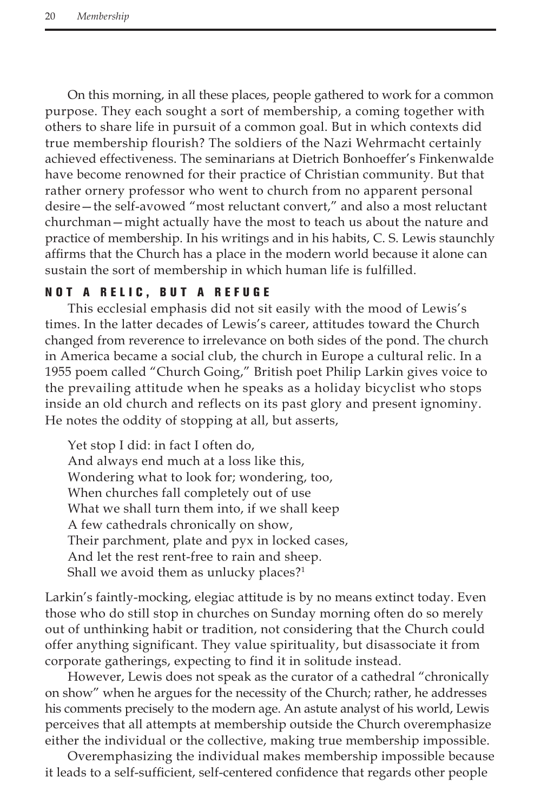On this morning, in all these places, people gathered to work for a common purpose. They each sought a sort of membership, a coming together with others to share life in pursuit of a common goal. But in which contexts did true membership flourish? The soldiers of the Nazi Wehrmacht certainly achieved effectiveness. The seminarians at Dietrich Bonhoeffer's Finkenwalde have become renowned for their practice of Christian community*.* But that rather ornery professor who went to church from no apparent personal desire—the self-avowed "most reluctant convert," and also a most reluctant churchman—might actually have the most to teach us about the nature and practice of membership. In his writings and in his habits, C. S. Lewis staunchly affirms that the Church has a place in the modern world because it alone can sustain the sort of membership in which human life is fulfilled.

## Not a Relic, but a Refuge

This ecclesial emphasis did not sit easily with the mood of Lewis's times. In the latter decades of Lewis's career, attitudes toward the Church changed from reverence to irrelevance on both sides of the pond. The church in America became a social club, the church in Europe a cultural relic. In a 1955 poem called "Church Going," British poet Philip Larkin gives voice to the prevailing attitude when he speaks as a holiday bicyclist who stops inside an old church and reflects on its past glory and present ignominy. He notes the oddity of stopping at all, but asserts,

Yet stop I did: in fact I often do, And always end much at a loss like this, Wondering what to look for; wondering, too, When churches fall completely out of use What we shall turn them into, if we shall keep A few cathedrals chronically on show, Their parchment, plate and pyx in locked cases, And let the rest rent-free to rain and sheep. Shall we avoid them as unlucky places?<sup>1</sup>

Larkin's faintly-mocking, elegiac attitude is by no means extinct today. Even those who do still stop in churches on Sunday morning often do so merely out of unthinking habit or tradition, not considering that the Church could offer anything significant. They value spirituality, but disassociate it from corporate gatherings, expecting to find it in solitude instead.

However, Lewis does not speak as the curator of a cathedral "chronically on show" when he argues for the necessity of the Church; rather, he addresses his comments precisely to the modern age. An astute analyst of his world, Lewis perceives that all attempts at membership outside the Church overemphasize either the individual or the collective, making true membership impossible.

Overemphasizing the individual makes membership impossible because it leads to a self-sufficient, self-centered confidence that regards other people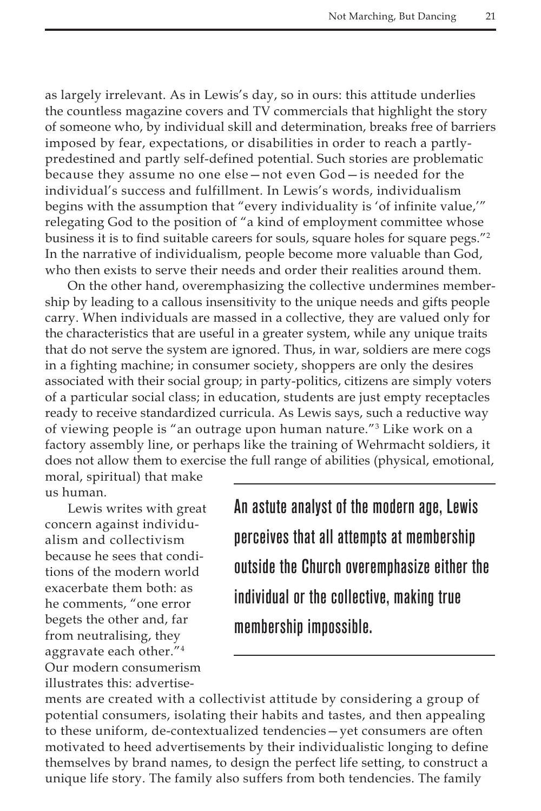as largely irrelevant. As in Lewis's day, so in ours: this attitude underlies the countless magazine covers and TV commercials that highlight the story of someone who, by individual skill and determination, breaks free of barriers imposed by fear, expectations, or disabilities in order to reach a partlypredestined and partly self-defined potential. Such stories are problematic because they assume no one else—not even God—is needed for the individual's success and fulfillment. In Lewis's words, individualism begins with the assumption that "every individuality is 'of infinite value,'" relegating God to the position of "a kind of employment committee whose business it is to find suitable careers for souls, square holes for square pegs."<sup>2</sup> In the narrative of individualism, people become more valuable than God, who then exists to serve their needs and order their realities around them.

On the other hand, overemphasizing the collective undermines membership by leading to a callous insensitivity to the unique needs and gifts people carry. When individuals are massed in a collective, they are valued only for the characteristics that are useful in a greater system, while any unique traits that do not serve the system are ignored. Thus, in war, soldiers are mere cogs in a fighting machine; in consumer society, shoppers are only the desires associated with their social group; in party-politics, citizens are simply voters of a particular social class; in education, students are just empty receptacles ready to receive standardized curricula. As Lewis says, such a reductive way of viewing people is "an outrage upon human nature."3 Like work on a factory assembly line, or perhaps like the training of Wehrmacht soldiers, it does not allow them to exercise the full range of abilities (physical, emotional,

moral, spiritual) that make us human.

Lewis writes with great concern against individualism and collectivism because he sees that conditions of the modern world exacerbate them both: as he comments, "one error begets the other and, far from neutralising, they aggravate each other."4 Our modern consumerism illustrates this: advertiseAn astute analyst of the modern age, Lewis perceives that all attempts at membership outside the Church overemphasize either the individual or the collective, making true membership impossible.

ments are created with a collectivist attitude by considering a group of potential consumers, isolating their habits and tastes, and then appealing to these uniform, de-contextualized tendencies—yet consumers are often motivated to heed advertisements by their individualistic longing to define themselves by brand names, to design the perfect life setting, to construct a unique life story. The family also suffers from both tendencies. The family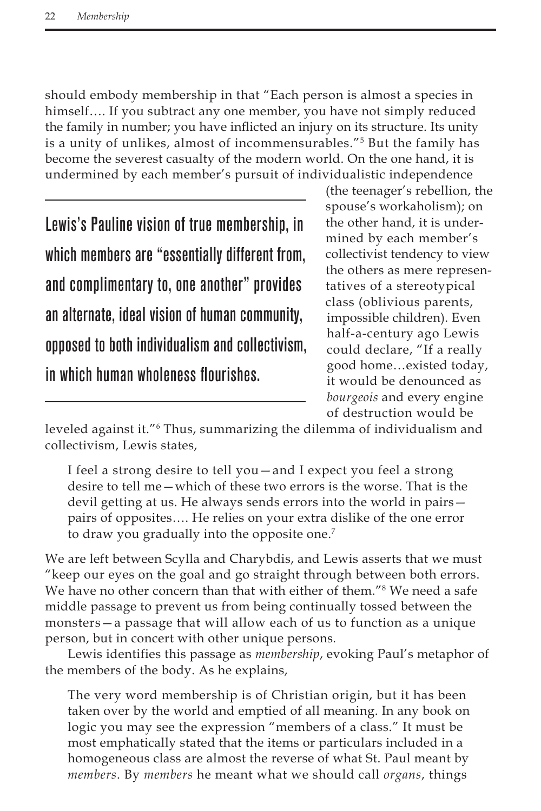should embody membership in that "Each person is almost a species in himself…. If you subtract any one member, you have not simply reduced the family in number; you have inflicted an injury on its structure. Its unity is a unity of unlikes, almost of incommensurables."5 But the family has become the severest casualty of the modern world. On the one hand, it is undermined by each member's pursuit of individualistic independence

Lewis's Pauline vision of true membership, in which members are "essentially different from, and complimentary to, one another" provides an alternate, ideal vision of human community, opposed to both individualism and collectivism, in which human wholeness flourishes.

(the teenager's rebellion, the spouse's workaholism); on the other hand, it is undermined by each member's collectivist tendency to view the others as mere representatives of a stereotypical class (oblivious parents, impossible children). Even half-a-century ago Lewis could declare, "If a really good home…existed today, it would be denounced as *bourgeois* and every engine of destruction would be

leveled against it."<sup>6</sup> Thus, summarizing the dilemma of individualism and collectivism, Lewis states,

I feel a strong desire to tell you—and I expect you feel a strong desire to tell me—which of these two errors is the worse. That is the devil getting at us. He always sends errors into the world in pairs pairs of opposites…. He relies on your extra dislike of the one error to draw you gradually into the opposite one.<sup>7</sup>

We are left between Scylla and Charybdis, and Lewis asserts that we must "keep our eyes on the goal and go straight through between both errors. We have no other concern than that with either of them."<sup>8</sup> We need a safe middle passage to prevent us from being continually tossed between the monsters—a passage that will allow each of us to function as a unique person, but in concert with other unique persons*.* 

Lewis identifies this passage as *membership*, evoking Paul's metaphor of the members of the body. As he explains,

The very word membership is of Christian origin, but it has been taken over by the world and emptied of all meaning. In any book on logic you may see the expression "members of a class." It must be most emphatically stated that the items or particulars included in a homogeneous class are almost the reverse of what St. Paul meant by *members*. By *members* he meant what we should call *organs*, things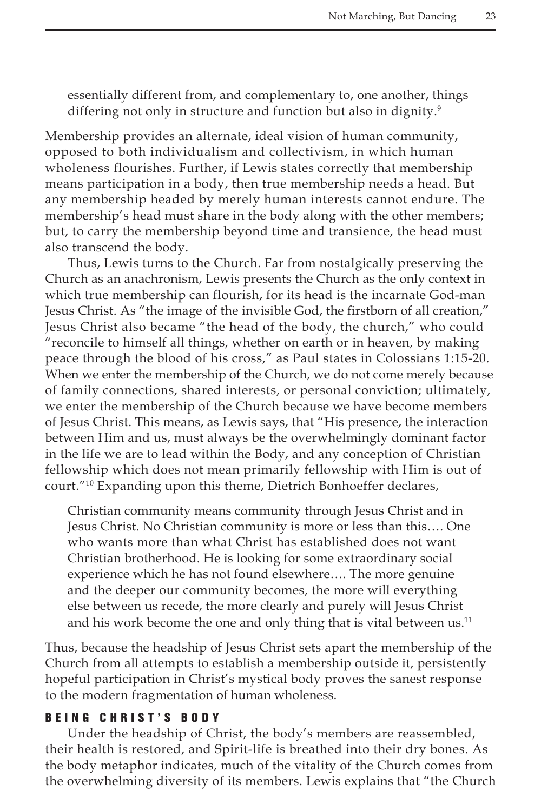essentially different from, and complementary to, one another, things differing not only in structure and function but also in dignity.<sup>9</sup>

Membership provides an alternate, ideal vision of human community, opposed to both individualism and collectivism, in which human wholeness flourishes. Further, if Lewis states correctly that membership means participation in a body, then true membership needs a head. But any membership headed by merely human interests cannot endure. The membership's head must share in the body along with the other members; but, to carry the membership beyond time and transience, the head must also transcend the body.

Thus, Lewis turns to the Church. Far from nostalgically preserving the Church as an anachronism, Lewis presents the Church as the only context in which true membership can flourish, for its head is the incarnate God-man Jesus Christ. As "the image of the invisible God, the firstborn of all creation," Jesus Christ also became "the head of the body, the church," who could "reconcile to himself all things, whether on earth or in heaven, by making peace through the blood of his cross," as Paul states in Colossians 1:15-20. When we enter the membership of the Church, we do not come merely because of family connections, shared interests, or personal conviction; ultimately, we enter the membership of the Church because we have become members of Jesus Christ. This means, as Lewis says, that "His presence, the interaction between Him and us, must always be the overwhelmingly dominant factor in the life we are to lead within the Body, and any conception of Christian fellowship which does not mean primarily fellowship with Him is out of court."10 Expanding upon this theme, Dietrich Bonhoeffer declares,

Christian community means community through Jesus Christ and in Jesus Christ. No Christian community is more or less than this…. One who wants more than what Christ has established does not want Christian brotherhood. He is looking for some extraordinary social experience which he has not found elsewhere…. The more genuine and the deeper our community becomes, the more will everything else between us recede, the more clearly and purely will Jesus Christ and his work become the one and only thing that is vital between  $us$ <sup>11</sup>

Thus, because the headship of Jesus Christ sets apart the membership of the Church from all attempts to establish a membership outside it, persistently hopeful participation in Christ's mystical body proves the sanest response to the modern fragmentation of human wholeness.

## BEING CHRIST'S BODY

Under the headship of Christ, the body's members are reassembled, their health is restored, and Spirit-life is breathed into their dry bones. As the body metaphor indicates, much of the vitality of the Church comes from the overwhelming diversity of its members. Lewis explains that "the Church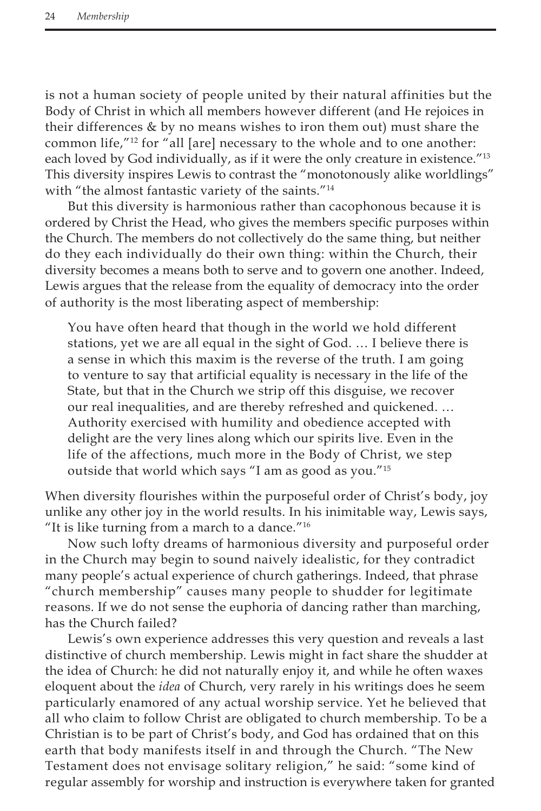is not a human society of people united by their natural affinities but the Body of Christ in which all members however different (and He rejoices in their differences & by no means wishes to iron them out) must share the common life,"<sup>12</sup> for "all [are] necessary to the whole and to one another: each loved by God individually, as if it were the only creature in existence."13 This diversity inspires Lewis to contrast the "monotonously alike worldlings" with "the almost fantastic variety of the saints."<sup>14</sup>

But this diversity is harmonious rather than cacophonous because it is ordered by Christ the Head, who gives the members specific purposes within the Church. The members do not collectively do the same thing, but neither do they each individually do their own thing: within the Church, their diversity becomes a means both to serve and to govern one another. Indeed, Lewis argues that the release from the equality of democracy into the order of authority is the most liberating aspect of membership:

You have often heard that though in the world we hold different stations, yet we are all equal in the sight of God. … I believe there is a sense in which this maxim is the reverse of the truth. I am going to venture to say that artificial equality is necessary in the life of the State, but that in the Church we strip off this disguise, we recover our real inequalities, and are thereby refreshed and quickened. … Authority exercised with humility and obedience accepted with delight are the very lines along which our spirits live. Even in the life of the affections, much more in the Body of Christ, we step outside that world which says "I am as good as you."15

When diversity flourishes within the purposeful order of Christ's body, joy unlike any other joy in the world results. In his inimitable way, Lewis says, "It is like turning from a march to a dance."<sup>16</sup>

Now such lofty dreams of harmonious diversity and purposeful order in the Church may begin to sound naively idealistic, for they contradict many people's actual experience of church gatherings. Indeed, that phrase "church membership" causes many people to shudder for legitimate reasons. If we do not sense the euphoria of dancing rather than marching, has the Church failed?

Lewis's own experience addresses this very question and reveals a last distinctive of church membership. Lewis might in fact share the shudder at the idea of Church: he did not naturally enjoy it, and while he often waxes eloquent about the *idea* of Church, very rarely in his writings does he seem particularly enamored of any actual worship service. Yet he believed that all who claim to follow Christ are obligated to church membership. To be a Christian is to be part of Christ's body, and God has ordained that on this earth that body manifests itself in and through the Church. "The New Testament does not envisage solitary religion," he said: "some kind of regular assembly for worship and instruction is everywhere taken for granted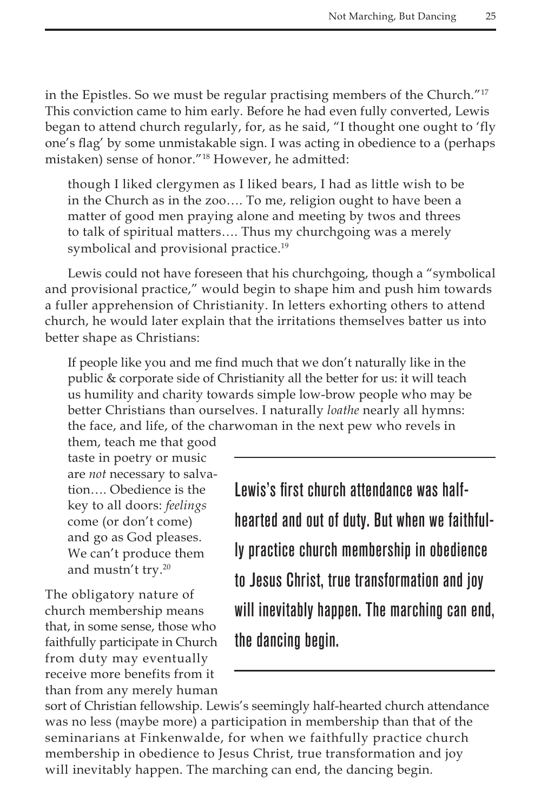in the Epistles. So we must be regular practising members of the Church."17 This conviction came to him early. Before he had even fully converted, Lewis began to attend church regularly, for, as he said, "I thought one ought to 'fly one's flag' by some unmistakable sign. I was acting in obedience to a (perhaps mistaken) sense of honor."18 However, he admitted:

though I liked clergymen as I liked bears, I had as little wish to be in the Church as in the zoo…. To me, religion ought to have been a matter of good men praying alone and meeting by twos and threes to talk of spiritual matters…. Thus my churchgoing was a merely symbolical and provisional practice.<sup>19</sup>

Lewis could not have foreseen that his churchgoing, though a "symbolical and provisional practice," would begin to shape him and push him towards a fuller apprehension of Christianity. In letters exhorting others to attend church, he would later explain that the irritations themselves batter us into better shape as Christians:

If people like you and me find much that we don't naturally like in the public & corporate side of Christianity all the better for us: it will teach us humility and charity towards simple low-brow people who may be better Christians than ourselves. I naturally *loathe* nearly all hymns: the face, and life, of the charwoman in the next pew who revels in

them, teach me that good taste in poetry or music are *not* necessary to salvation…. Obedience is the key to all doors: *feelings*  come (or don't come) and go as God pleases. We can't produce them and mustn't try.20

The obligatory nature of church membership means that, in some sense, those who faithfully participate in Church from duty may eventually receive more benefits from it than from any merely human Lewis's first church attendance was halfhearted and out of duty. But when we faithfully practice church membership in obedience to Jesus Christ, true transformation and joy will inevitably happen. The marching can end, the dancing begin.

sort of Christian fellowship. Lewis's seemingly half-hearted church attendance was no less (maybe more) a participation in membership than that of the seminarians at Finkenwalde, for when we faithfully practice church membership in obedience to Jesus Christ, true transformation and joy will inevitably happen. The marching can end, the dancing begin.